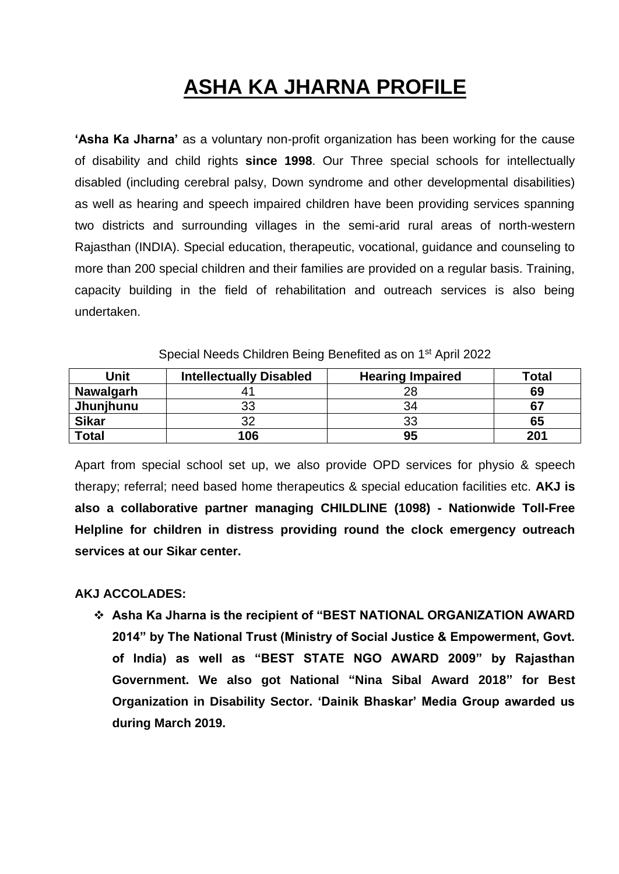# **ASHA KA JHARNA PROFILE**

**'Asha Ka Jharna'** as a voluntary non-profit organization has been working for the cause of disability and child rights **since 1998**. Our Three special schools for intellectually disabled (including cerebral palsy, Down syndrome and other developmental disabilities) as well as hearing and speech impaired children have been providing services spanning two districts and surrounding villages in the semi-arid rural areas of north-western Rajasthan (INDIA). Special education, therapeutic, vocational, guidance and counseling to more than 200 special children and their families are provided on a regular basis. Training, capacity building in the field of rehabilitation and outreach services is also being undertaken.

| Unit             | <b>Intellectually Disabled</b> | <b>Hearing Impaired</b> | <b>Total</b> |
|------------------|--------------------------------|-------------------------|--------------|
| <b>Nawalgarh</b> |                                | 28                      | 69           |
| Jhunjhunu        | 33                             | 34                      | 67           |
| <b>Sikar</b>     | າາ                             | 33                      | 65           |
| <b>Total</b>     | 106                            | 95                      | 201          |

Special Needs Children Being Benefited as on 1<sup>st</sup> April 2022

Apart from special school set up, we also provide OPD services for physio & speech therapy; referral; need based home therapeutics & special education facilities etc. **AKJ is also a collaborative partner managing CHILDLINE (1098) - Nationwide Toll-Free Helpline for children in distress providing round the clock emergency outreach services at our Sikar center.**

#### **AKJ ACCOLADES:**

❖ **Asha Ka Jharna is the recipient of "BEST NATIONAL ORGANIZATION AWARD 2014" by The National Trust (Ministry of Social Justice & Empowerment, Govt. of India) as well as "BEST STATE NGO AWARD 2009" by Rajasthan Government. We also got National "Nina Sibal Award 2018" for Best Organization in Disability Sector. 'Dainik Bhaskar' Media Group awarded us during March 2019.**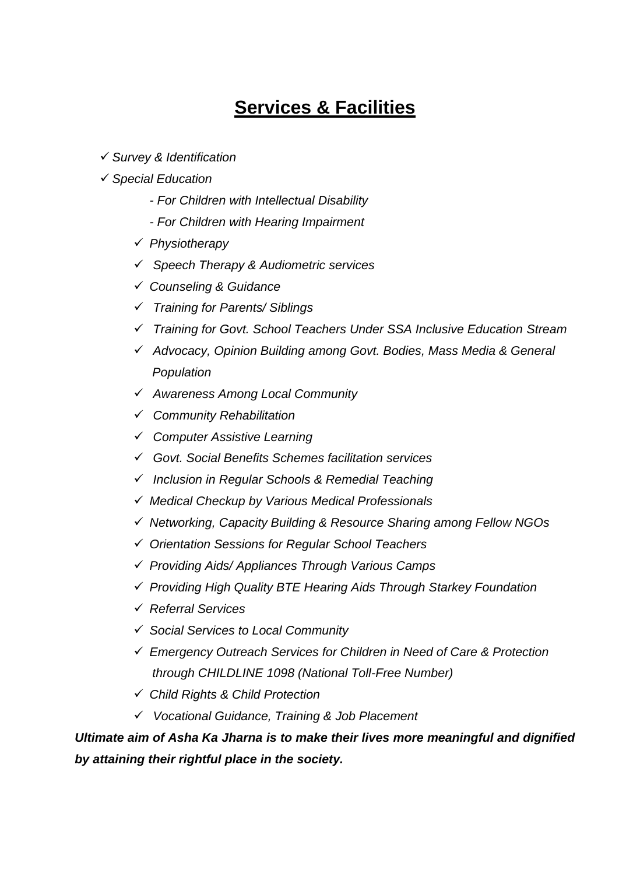# **Services & Facilities**

✓ *Survey & Identification*

#### ✓ *Special Education*

- *- For Children with Intellectual Disability*
- *- For Children with Hearing Impairment*
- ✓ *Physiotherapy*
- ✓ *Speech Therapy & Audiometric services*
- ✓ *Counseling & Guidance*
- ✓ *Training for Parents/ Siblings*
- ✓ *Training for Govt. School Teachers Under SSA Inclusive Education Stream*
- ✓ *Advocacy, Opinion Building among Govt. Bodies, Mass Media & General Population*
- ✓ *Awareness Among Local Community*
- ✓ *Community Rehabilitation*
- ✓ *Computer Assistive Learning*
- ✓ *Govt. Social Benefits Schemes facilitation services*
- ✓ *Inclusion in Regular Schools & Remedial Teaching*
- ✓ *Medical Checkup by Various Medical Professionals*
- ✓ *Networking, Capacity Building & Resource Sharing among Fellow NGOs*
- ✓ *Orientation Sessions for Regular School Teachers*
- ✓ *Providing Aids/ Appliances Through Various Camps*
- ✓ *Providing High Quality BTE Hearing Aids Through Starkey Foundation*
- ✓ *Referral Services*
- ✓ *Social Services to Local Community*
- ✓ *Emergency Outreach Services for Children in Need of Care & Protection through CHILDLINE 1098 (National Toll-Free Number)*
- ✓ *Child Rights & Child Protection*
- ✓ *Vocational Guidance, Training & Job Placement*

*Ultimate aim of Asha Ka Jharna is to make their lives more meaningful and dignified by attaining their rightful place in the society.*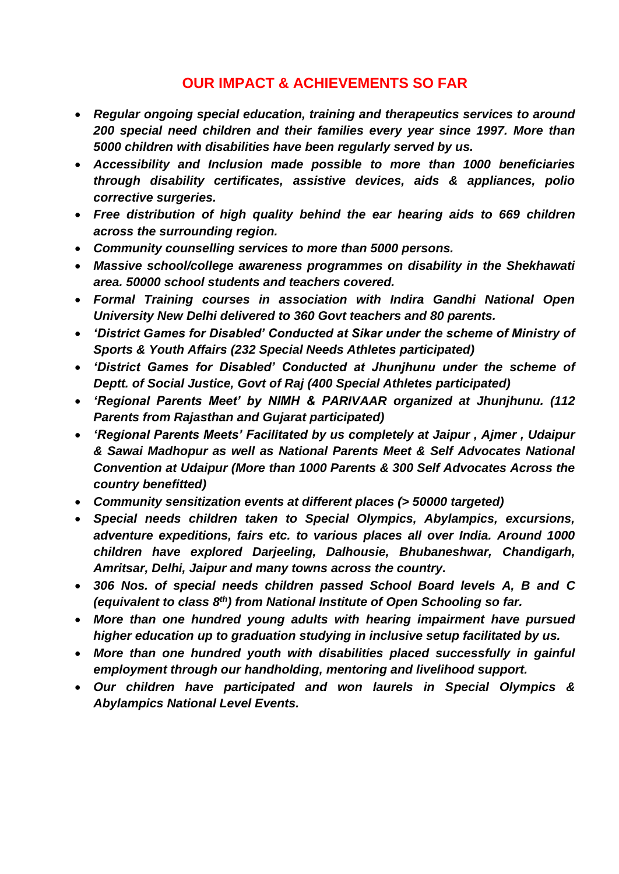### **OUR IMPACT & ACHIEVEMENTS SO FAR**

- *Regular ongoing special education, training and therapeutics services to around 200 special need children and their families every year since 1997. More than 5000 children with disabilities have been regularly served by us.*
- *Accessibility and Inclusion made possible to more than 1000 beneficiaries through disability certificates, assistive devices, aids & appliances, polio corrective surgeries.*
- *Free distribution of high quality behind the ear hearing aids to 669 children across the surrounding region.*
- *Community counselling services to more than 5000 persons.*
- *Massive school/college awareness programmes on disability in the Shekhawati area. 50000 school students and teachers covered.*
- *Formal Training courses in association with Indira Gandhi National Open University New Delhi delivered to 360 Govt teachers and 80 parents.*
- *'District Games for Disabled' Conducted at Sikar under the scheme of Ministry of Sports & Youth Affairs (232 Special Needs Athletes participated)*
- *'District Games for Disabled' Conducted at Jhunjhunu under the scheme of Deptt. of Social Justice, Govt of Raj (400 Special Athletes participated)*
- *'Regional Parents Meet' by NIMH & PARIVAAR organized at Jhunjhunu. (112 Parents from Rajasthan and Gujarat participated)*
- *'Regional Parents Meets' Facilitated by us completely at Jaipur , Ajmer , Udaipur & Sawai Madhopur as well as National Parents Meet & Self Advocates National Convention at Udaipur (More than 1000 Parents & 300 Self Advocates Across the country benefitted)*
- *Community sensitization events at different places (> 50000 targeted)*
- *Special needs children taken to Special Olympics, Abylampics, excursions, adventure expeditions, fairs etc. to various places all over India. Around 1000 children have explored Darjeeling, Dalhousie, Bhubaneshwar, Chandigarh, Amritsar, Delhi, Jaipur and many towns across the country.*
- *306 Nos. of special needs children passed School Board levels A, B and C (equivalent to class 8th) from National Institute of Open Schooling so far.*
- *More than one hundred young adults with hearing impairment have pursued higher education up to graduation studying in inclusive setup facilitated by us.*
- *More than one hundred youth with disabilities placed successfully in gainful employment through our handholding, mentoring and livelihood support.*
- *Our children have participated and won laurels in Special Olympics & Abylampics National Level Events.*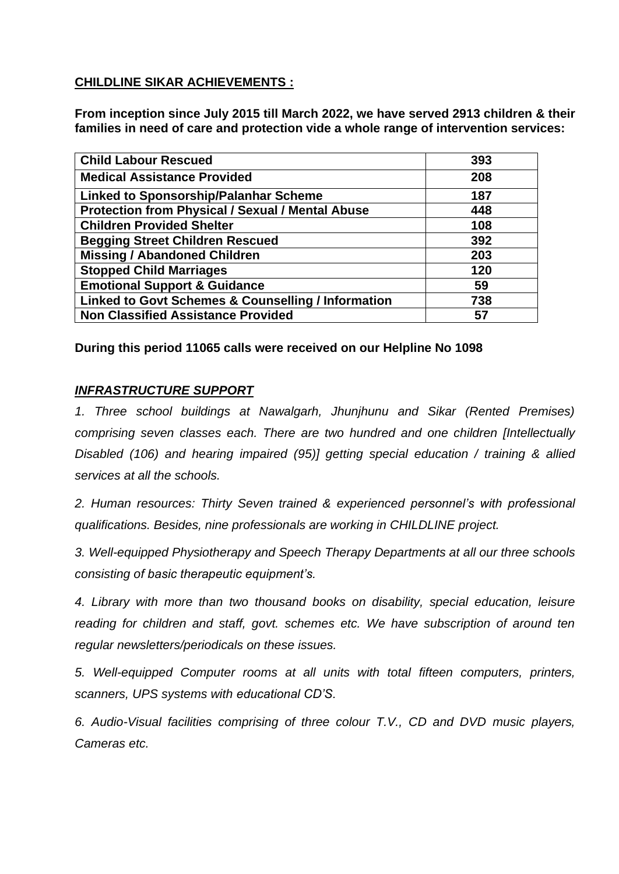#### **CHILDLINE SIKAR ACHIEVEMENTS :**

**From inception since July 2015 till March 2022, we have served 2913 children & their families in need of care and protection vide a whole range of intervention services:**

| <b>Child Labour Rescued</b>                             | 393 |
|---------------------------------------------------------|-----|
| <b>Medical Assistance Provided</b>                      | 208 |
| <b>Linked to Sponsorship/Palanhar Scheme</b>            | 187 |
| <b>Protection from Physical / Sexual / Mental Abuse</b> | 448 |
| <b>Children Provided Shelter</b>                        | 108 |
| <b>Begging Street Children Rescued</b>                  | 392 |
| <b>Missing / Abandoned Children</b>                     | 203 |
| <b>Stopped Child Marriages</b>                          | 120 |
| <b>Emotional Support &amp; Guidance</b>                 | 59  |
| Linked to Govt Schemes & Counselling / Information      | 738 |
| <b>Non Classified Assistance Provided</b>               | 57  |

**During this period 11065 calls were received on our Helpline No 1098**

#### *INFRASTRUCTURE SUPPORT*

*1. Three school buildings at Nawalgarh, Jhunjhunu and Sikar (Rented Premises) comprising seven classes each. There are two hundred and one children [Intellectually Disabled (106) and hearing impaired (95)] getting special education / training & allied services at all the schools.* 

*2. Human resources: Thirty Seven trained & experienced personnel's with professional qualifications. Besides, nine professionals are working in CHILDLINE project.*

*3. Well-equipped Physiotherapy and Speech Therapy Departments at all our three schools consisting of basic therapeutic equipment's.*

*4. Library with more than two thousand books on disability, special education, leisure reading for children and staff, govt. schemes etc. We have subscription of around ten regular newsletters/periodicals on these issues.*

*5. Well-equipped Computer rooms at all units with total fifteen computers, printers, scanners, UPS systems with educational CD'S.*

*6. Audio-Visual facilities comprising of three colour T.V., CD and DVD music players, Cameras etc.*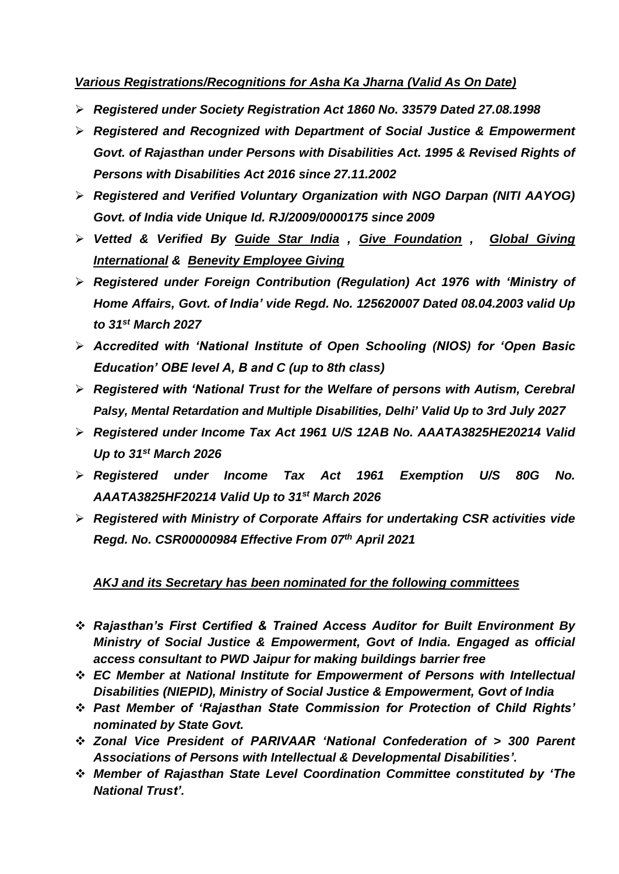#### *Various Registrations/Recognitions for Asha Ka Jharna (Valid As On Date)*

- ➢ *Registered under Society Registration Act 1860 No. 33579 Dated 27.08.1998*
- ➢ *Registered and Recognized with Department of Social Justice & Empowerment Govt. of Rajasthan under Persons with Disabilities Act. 1995 & Revised Rights of Persons with Disabilities Act 2016 since 27.11.2002*
- ➢ *Registered and Verified Voluntary Organization with NGO Darpan (NITI AAYOG) Govt. of India vide Unique Id. RJ/2009/0000175 since 2009*
- ➢ *Vetted & Verified By Guide Star India , Give Foundation , Global Giving International & Benevity Employee Giving*
- ➢ *Registered under Foreign Contribution (Regulation) Act 1976 with 'Ministry of Home Affairs, Govt. of India' vide Regd. No. 125620007 Dated 08.04.2003 valid Up to 31st March 2027*
- ➢ *Accredited with 'National Institute of Open Schooling (NIOS) for 'Open Basic Education' OBE level A, B and C (up to 8th class)*
- ➢ *Registered with 'National Trust for the Welfare of persons with Autism, Cerebral Palsy, Mental Retardation and Multiple Disabilities, Delhi' Valid Up to 3rd July 2027*
- ➢ *Registered under Income Tax Act 1961 U/S 12AB No. AAATA3825HE20214 Valid Up to 31st March 2026*
- ➢ *Registered under Income Tax Act 1961 Exemption U/S 80G No. AAATA3825HF20214 Valid Up to 31st March 2026*
- ➢ *Registered with Ministry of Corporate Affairs for undertaking CSR activities vide Regd. No. CSR00000984 Effective From 07th April 2021*

#### *AKJ and its Secretary has been nominated for the following committees*

- ❖ *Rajasthan's First Certified & Trained Access Auditor for Built Environment By Ministry of Social Justice & Empowerment, Govt of India. Engaged as official access consultant to PWD Jaipur for making buildings barrier free*
- ❖ *EC Member at National Institute for Empowerment of Persons with Intellectual Disabilities (NIEPID), Ministry of Social Justice & Empowerment, Govt of India*
- ❖ *Past Member of 'Rajasthan State Commission for Protection of Child Rights' nominated by State Govt.*
- ❖ *Zonal Vice President of PARIVAAR 'National Confederation of > 300 Parent Associations of Persons with Intellectual & Developmental Disabilities'.*
- ❖ *Member of Rajasthan State Level Coordination Committee constituted by 'The National Trust'.*